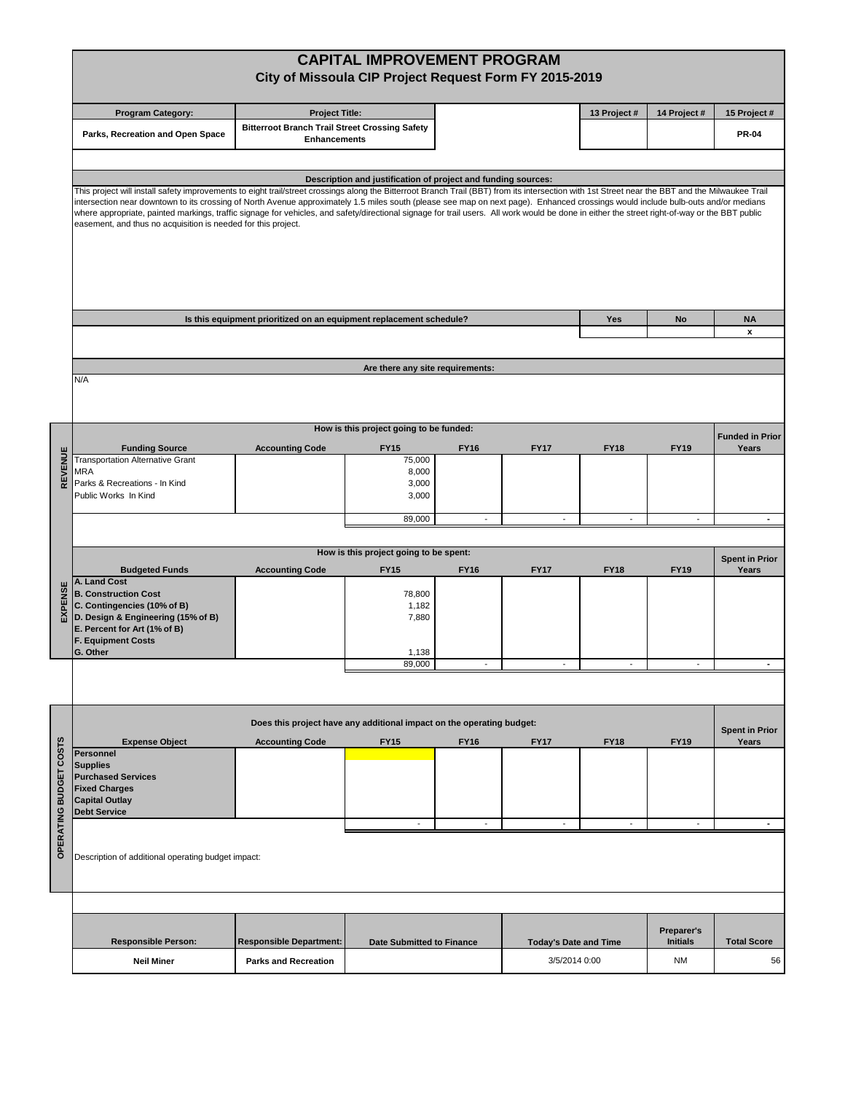|                         |                                                                                                                                                                                                                                                                                                                                                                                       | <b>CAPITAL IMPROVEMENT PROGRAM</b>                                           |                                         |                          |                              |                          |                               |                                |  |  |  |  |  |  |
|-------------------------|---------------------------------------------------------------------------------------------------------------------------------------------------------------------------------------------------------------------------------------------------------------------------------------------------------------------------------------------------------------------------------------|------------------------------------------------------------------------------|-----------------------------------------|--------------------------|------------------------------|--------------------------|-------------------------------|--------------------------------|--|--|--|--|--|--|
|                         | City of Missoula CIP Project Request Form FY 2015-2019                                                                                                                                                                                                                                                                                                                                |                                                                              |                                         |                          |                              |                          |                               |                                |  |  |  |  |  |  |
|                         |                                                                                                                                                                                                                                                                                                                                                                                       |                                                                              |                                         |                          |                              |                          |                               |                                |  |  |  |  |  |  |
|                         | <b>Program Category:</b>                                                                                                                                                                                                                                                                                                                                                              | <b>Project Title:</b>                                                        |                                         |                          |                              | 13 Project #             | 14 Project #                  | 15 Project #                   |  |  |  |  |  |  |
|                         | Parks, Recreation and Open Space                                                                                                                                                                                                                                                                                                                                                      | <b>Bitterroot Branch Trail Street Crossing Safety</b><br><b>Enhancements</b> |                                         |                          |                              |                          | <b>PR-04</b>                  |                                |  |  |  |  |  |  |
|                         |                                                                                                                                                                                                                                                                                                                                                                                       |                                                                              |                                         |                          |                              |                          |                               |                                |  |  |  |  |  |  |
|                         |                                                                                                                                                                                                                                                                                                                                                                                       |                                                                              |                                         |                          |                              |                          |                               |                                |  |  |  |  |  |  |
|                         | Description and justification of project and funding sources:                                                                                                                                                                                                                                                                                                                         |                                                                              |                                         |                          |                              |                          |                               |                                |  |  |  |  |  |  |
|                         | This project will install safety improvements to eight trail/street crossings along the Bitterroot Branch Trail (BBT) from its intersection with 1st Street near the BBT and the Milwaukee Trail<br>intersection near downtown to its crossing of North Avenue approximately 1.5 miles south (please see map on next page). Enhanced crossings would include bulb-outs and/or medians |                                                                              |                                         |                          |                              |                          |                               |                                |  |  |  |  |  |  |
|                         | where appropriate, painted markings, traffic signage for vehicles, and safety/directional signage for trail users. All work would be done in either the street right-of-way or the BBT public                                                                                                                                                                                         |                                                                              |                                         |                          |                              |                          |                               |                                |  |  |  |  |  |  |
|                         | easement, and thus no acquisition is needed for this project.                                                                                                                                                                                                                                                                                                                         |                                                                              |                                         |                          |                              |                          |                               |                                |  |  |  |  |  |  |
|                         |                                                                                                                                                                                                                                                                                                                                                                                       |                                                                              |                                         |                          |                              |                          |                               |                                |  |  |  |  |  |  |
|                         |                                                                                                                                                                                                                                                                                                                                                                                       |                                                                              |                                         |                          |                              |                          |                               |                                |  |  |  |  |  |  |
|                         |                                                                                                                                                                                                                                                                                                                                                                                       |                                                                              |                                         |                          |                              |                          |                               |                                |  |  |  |  |  |  |
|                         |                                                                                                                                                                                                                                                                                                                                                                                       |                                                                              |                                         |                          |                              |                          |                               |                                |  |  |  |  |  |  |
|                         | Is this equipment prioritized on an equipment replacement schedule?                                                                                                                                                                                                                                                                                                                   | Yes                                                                          | No                                      | <b>NA</b>                |                              |                          |                               |                                |  |  |  |  |  |  |
|                         |                                                                                                                                                                                                                                                                                                                                                                                       |                                                                              |                                         | x                        |                              |                          |                               |                                |  |  |  |  |  |  |
|                         |                                                                                                                                                                                                                                                                                                                                                                                       |                                                                              |                                         |                          |                              |                          |                               |                                |  |  |  |  |  |  |
|                         | Are there any site requirements:                                                                                                                                                                                                                                                                                                                                                      |                                                                              |                                         |                          |                              |                          |                               |                                |  |  |  |  |  |  |
|                         | N/A                                                                                                                                                                                                                                                                                                                                                                                   |                                                                              |                                         |                          |                              |                          |                               |                                |  |  |  |  |  |  |
|                         |                                                                                                                                                                                                                                                                                                                                                                                       |                                                                              |                                         |                          |                              |                          |                               |                                |  |  |  |  |  |  |
|                         |                                                                                                                                                                                                                                                                                                                                                                                       |                                                                              |                                         |                          |                              |                          |                               |                                |  |  |  |  |  |  |
|                         |                                                                                                                                                                                                                                                                                                                                                                                       |                                                                              | How is this project going to be funded: |                          |                              |                          |                               | <b>Funded in Prior</b>         |  |  |  |  |  |  |
|                         | <b>Funding Source</b><br><b>Transportation Alternative Grant</b>                                                                                                                                                                                                                                                                                                                      | <b>Accounting Code</b>                                                       | <b>FY15</b>                             | <b>FY16</b>              | <b>FY17</b>                  | <b>FY18</b>              | <b>FY19</b>                   | Years                          |  |  |  |  |  |  |
| REVENUE                 | MRA                                                                                                                                                                                                                                                                                                                                                                                   |                                                                              | 75,000<br>8,000                         |                          |                              |                          |                               |                                |  |  |  |  |  |  |
|                         | Parks & Recreations - In Kind                                                                                                                                                                                                                                                                                                                                                         |                                                                              | 3,000                                   |                          |                              |                          |                               |                                |  |  |  |  |  |  |
|                         | Public Works In Kind                                                                                                                                                                                                                                                                                                                                                                  |                                                                              | 3,000                                   |                          |                              |                          |                               |                                |  |  |  |  |  |  |
|                         |                                                                                                                                                                                                                                                                                                                                                                                       |                                                                              | 89,000                                  | $\overline{\phantom{a}}$ | $\blacksquare$               | $\overline{\phantom{a}}$ | $\overline{\phantom{a}}$      | $\sim$                         |  |  |  |  |  |  |
|                         |                                                                                                                                                                                                                                                                                                                                                                                       |                                                                              |                                         |                          |                              |                          |                               |                                |  |  |  |  |  |  |
|                         |                                                                                                                                                                                                                                                                                                                                                                                       |                                                                              | How is this project going to be spent:  |                          |                              |                          |                               | <b>Spent in Prior</b>          |  |  |  |  |  |  |
|                         | <b>Budgeted Funds</b>                                                                                                                                                                                                                                                                                                                                                                 | <b>Accounting Code</b>                                                       | <b>FY15</b>                             | <b>FY16</b>              | <b>FY17</b>                  | <b>FY18</b>              | <b>FY19</b>                   | Years                          |  |  |  |  |  |  |
|                         | A. Land Cost<br><b>B. Construction Cost</b>                                                                                                                                                                                                                                                                                                                                           |                                                                              | 78,800                                  |                          |                              |                          |                               |                                |  |  |  |  |  |  |
| EXPENSE                 | C. Contingencies (10% of B)                                                                                                                                                                                                                                                                                                                                                           |                                                                              | 1,182                                   |                          |                              |                          |                               |                                |  |  |  |  |  |  |
|                         | D. Design & Engineering (15% of B)                                                                                                                                                                                                                                                                                                                                                    |                                                                              | 7,880                                   |                          |                              |                          |                               |                                |  |  |  |  |  |  |
|                         | E. Percent for Art (1% of B)<br><b>F. Equipment Costs</b>                                                                                                                                                                                                                                                                                                                             |                                                                              |                                         |                          |                              |                          |                               |                                |  |  |  |  |  |  |
|                         | G. Other                                                                                                                                                                                                                                                                                                                                                                              |                                                                              | 1,138                                   |                          |                              |                          |                               |                                |  |  |  |  |  |  |
|                         |                                                                                                                                                                                                                                                                                                                                                                                       |                                                                              | 89,000                                  |                          |                              |                          |                               |                                |  |  |  |  |  |  |
|                         |                                                                                                                                                                                                                                                                                                                                                                                       |                                                                              |                                         |                          |                              |                          |                               |                                |  |  |  |  |  |  |
|                         |                                                                                                                                                                                                                                                                                                                                                                                       |                                                                              |                                         |                          |                              |                          |                               |                                |  |  |  |  |  |  |
|                         |                                                                                                                                                                                                                                                                                                                                                                                       | Does this project have any additional impact on the operating budget:        |                                         |                          |                              |                          |                               |                                |  |  |  |  |  |  |
|                         | <b>Expense Object</b>                                                                                                                                                                                                                                                                                                                                                                 | <b>Accounting Code</b>                                                       | <b>FY15</b>                             | <b>FY16</b>              | <b>FY17</b>                  | <b>FY18</b>              | <b>FY19</b>                   | <b>Spent in Prior</b><br>Years |  |  |  |  |  |  |
| <b>COSTS</b>            | <b>Personnel</b>                                                                                                                                                                                                                                                                                                                                                                      |                                                                              |                                         |                          |                              |                          |                               |                                |  |  |  |  |  |  |
|                         | <b>Supplies</b><br><b>Purchased Services</b>                                                                                                                                                                                                                                                                                                                                          |                                                                              |                                         |                          |                              |                          |                               |                                |  |  |  |  |  |  |
|                         | <b>Fixed Charges</b>                                                                                                                                                                                                                                                                                                                                                                  |                                                                              |                                         |                          |                              |                          |                               |                                |  |  |  |  |  |  |
|                         | <b>Capital Outlay</b>                                                                                                                                                                                                                                                                                                                                                                 |                                                                              |                                         |                          |                              |                          |                               |                                |  |  |  |  |  |  |
|                         | <b>Debt Service</b>                                                                                                                                                                                                                                                                                                                                                                   |                                                                              | $\overline{\phantom{a}}$                | $\overline{\phantom{a}}$ | $\overline{\phantom{a}}$     | $\overline{\phantom{a}}$ | $\overline{\phantom{a}}$      | $\sim$                         |  |  |  |  |  |  |
| <b>OPERATING BUDGET</b> |                                                                                                                                                                                                                                                                                                                                                                                       |                                                                              |                                         |                          |                              |                          |                               |                                |  |  |  |  |  |  |
|                         | Description of additional operating budget impact:                                                                                                                                                                                                                                                                                                                                    |                                                                              |                                         |                          |                              |                          |                               |                                |  |  |  |  |  |  |
|                         |                                                                                                                                                                                                                                                                                                                                                                                       |                                                                              |                                         |                          |                              |                          |                               |                                |  |  |  |  |  |  |
|                         |                                                                                                                                                                                                                                                                                                                                                                                       |                                                                              |                                         |                          |                              |                          |                               |                                |  |  |  |  |  |  |
|                         |                                                                                                                                                                                                                                                                                                                                                                                       |                                                                              |                                         |                          |                              |                          |                               |                                |  |  |  |  |  |  |
|                         |                                                                                                                                                                                                                                                                                                                                                                                       |                                                                              |                                         |                          |                              |                          |                               |                                |  |  |  |  |  |  |
|                         | <b>Responsible Person:</b>                                                                                                                                                                                                                                                                                                                                                            | <b>Responsible Department:</b>                                               | <b>Date Submitted to Finance</b>        |                          | <b>Today's Date and Time</b> |                          | Preparer's<br><b>Initials</b> | <b>Total Score</b>             |  |  |  |  |  |  |
|                         | <b>Neil Miner</b>                                                                                                                                                                                                                                                                                                                                                                     | <b>Parks and Recreation</b>                                                  |                                         |                          | 3/5/2014 0:00                |                          | ΝM                            | 56                             |  |  |  |  |  |  |
|                         |                                                                                                                                                                                                                                                                                                                                                                                       |                                                                              |                                         |                          |                              |                          |                               |                                |  |  |  |  |  |  |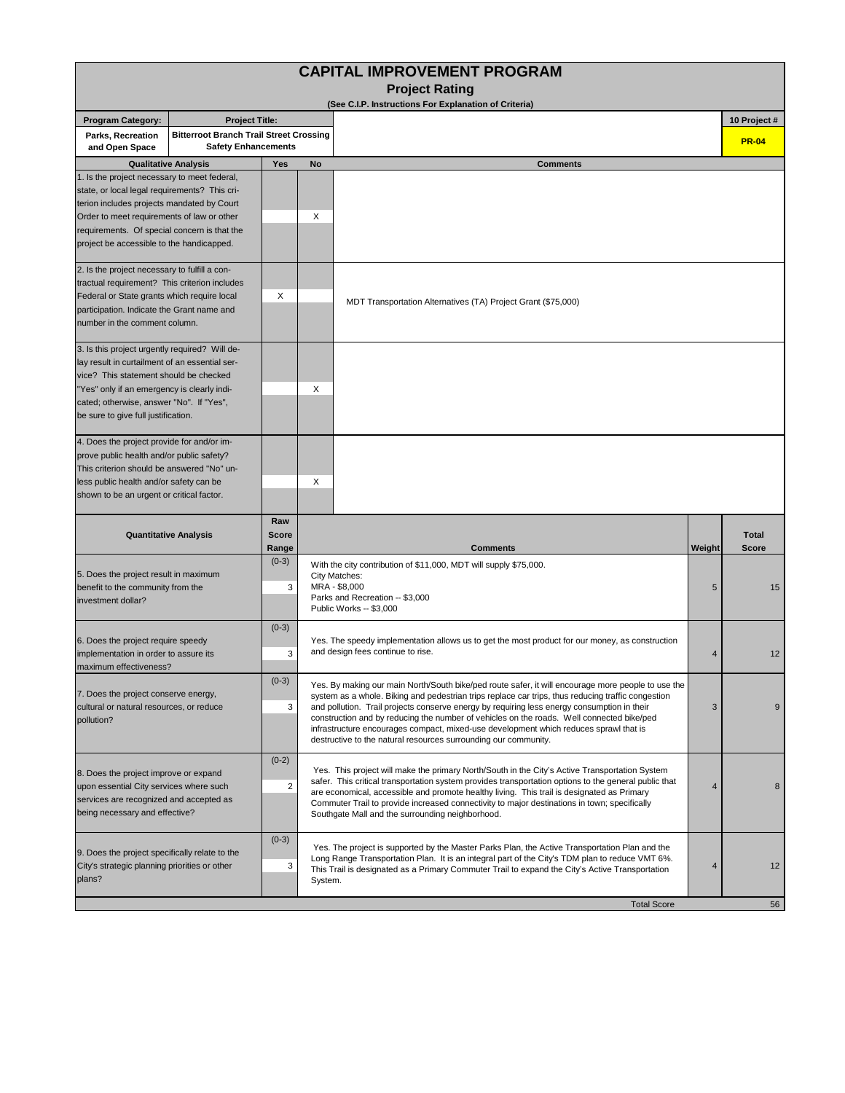| <b>CAPITAL IMPROVEMENT PROGRAM</b>                                                                                                                                                                                                                                                     |                             |                              |                                                                                                                                                                                                                                                                                                                        |                                                                                                                                                                                                                                                                                                                                                                                                                                                                                                                                                                                  |                |                              |  |  |  |  |  |  |
|----------------------------------------------------------------------------------------------------------------------------------------------------------------------------------------------------------------------------------------------------------------------------------------|-----------------------------|------------------------------|------------------------------------------------------------------------------------------------------------------------------------------------------------------------------------------------------------------------------------------------------------------------------------------------------------------------|----------------------------------------------------------------------------------------------------------------------------------------------------------------------------------------------------------------------------------------------------------------------------------------------------------------------------------------------------------------------------------------------------------------------------------------------------------------------------------------------------------------------------------------------------------------------------------|----------------|------------------------------|--|--|--|--|--|--|
| <b>Project Rating</b><br>(See C.I.P. Instructions For Explanation of Criteria)                                                                                                                                                                                                         |                             |                              |                                                                                                                                                                                                                                                                                                                        |                                                                                                                                                                                                                                                                                                                                                                                                                                                                                                                                                                                  |                |                              |  |  |  |  |  |  |
| <b>Program Category:</b>                                                                                                                                                                                                                                                               | <b>Project Title:</b>       |                              |                                                                                                                                                                                                                                                                                                                        |                                                                                                                                                                                                                                                                                                                                                                                                                                                                                                                                                                                  |                | 10 Project #                 |  |  |  |  |  |  |
| <b>Bitterroot Branch Trail Street Crossing</b><br>Parks, Recreation<br><b>Safety Enhancements</b><br>and Open Space                                                                                                                                                                    |                             |                              |                                                                                                                                                                                                                                                                                                                        |                                                                                                                                                                                                                                                                                                                                                                                                                                                                                                                                                                                  |                | <b>PR-04</b>                 |  |  |  |  |  |  |
|                                                                                                                                                                                                                                                                                        | <b>Qualitative Analysis</b> | Yes                          | <b>No</b>                                                                                                                                                                                                                                                                                                              | <b>Comments</b>                                                                                                                                                                                                                                                                                                                                                                                                                                                                                                                                                                  |                |                              |  |  |  |  |  |  |
| 1. Is the project necessary to meet federal,<br>state, or local legal requirements? This cri-<br>terion includes projects mandated by Court<br>Order to meet requirements of law or other<br>requirements. Of special concern is that the<br>project be accessible to the handicapped. |                             | Χ                            |                                                                                                                                                                                                                                                                                                                        |                                                                                                                                                                                                                                                                                                                                                                                                                                                                                                                                                                                  |                |                              |  |  |  |  |  |  |
| 2. Is the project necessary to fulfill a con-<br>tractual requirement? This criterion includes<br>Federal or State grants which require local<br>participation. Indicate the Grant name and<br>number in the comment column.                                                           |                             | Х                            |                                                                                                                                                                                                                                                                                                                        | MDT Transportation Alternatives (TA) Project Grant (\$75,000)                                                                                                                                                                                                                                                                                                                                                                                                                                                                                                                    |                |                              |  |  |  |  |  |  |
| 3. Is this project urgently required? Will de-<br>lay result in curtailment of an essential ser-<br>vice? This statement should be checked<br>"Yes" only if an emergency is clearly indi-<br>cated; otherwise, answer "No". If "Yes",<br>be sure to give full justification.           |                             |                              | Χ                                                                                                                                                                                                                                                                                                                      |                                                                                                                                                                                                                                                                                                                                                                                                                                                                                                                                                                                  |                |                              |  |  |  |  |  |  |
| 4. Does the project provide for and/or im-<br>prove public health and/or public safety?<br>This criterion should be answered "No" un-<br>less public health and/or safety can be<br>shown to be an urgent or critical factor.                                                          |                             |                              | Χ                                                                                                                                                                                                                                                                                                                      |                                                                                                                                                                                                                                                                                                                                                                                                                                                                                                                                                                                  |                |                              |  |  |  |  |  |  |
| <b>Quantitative Analysis</b>                                                                                                                                                                                                                                                           |                             | Raw<br><b>Score</b><br>Range |                                                                                                                                                                                                                                                                                                                        | <b>Comments</b>                                                                                                                                                                                                                                                                                                                                                                                                                                                                                                                                                                  | Weight         | <b>Total</b><br><b>Score</b> |  |  |  |  |  |  |
| 5. Does the project result in maximum<br>benefit to the community from the<br>investment dollar?                                                                                                                                                                                       |                             | $(0-3)$<br>3                 | With the city contribution of \$11,000, MDT will supply \$75,000.<br>City Matches:<br>MRA - \$8,000<br>5<br>Parks and Recreation -- \$3,000<br>Public Works -- \$3,000                                                                                                                                                 |                                                                                                                                                                                                                                                                                                                                                                                                                                                                                                                                                                                  |                | 15                           |  |  |  |  |  |  |
| 6. Does the project require speedy<br>implementation in order to assure its<br>maximum effectiveness?                                                                                                                                                                                  |                             | $(0-3)$<br>3                 | Yes. The speedy implementation allows us to get the most product for our money, as construction<br>and design fees continue to rise.<br>4                                                                                                                                                                              |                                                                                                                                                                                                                                                                                                                                                                                                                                                                                                                                                                                  |                | 12                           |  |  |  |  |  |  |
| 7. Does the project conserve energy,<br>cultural or natural resources, or reduce<br>pollution?                                                                                                                                                                                         |                             | $(0-3)$<br>3                 |                                                                                                                                                                                                                                                                                                                        | Yes. By making our main North/South bike/ped route safer, it will encourage more people to use the<br>system as a whole. Biking and pedestrian trips replace car trips, thus reducing traffic congestion<br>and pollution. Trail projects conserve energy by requiring less energy consumption in their<br>$\mathbf{3}$<br>construction and by reducing the number of vehicles on the roads. Well connected bike/ped<br>infrastructure encourages compact, mixed-use development which reduces sprawl that is<br>destructive to the natural resources surrounding our community. |                |                              |  |  |  |  |  |  |
| 8. Does the project improve or expand<br>upon essential City services where such<br>services are recognized and accepted as<br>being necessary and effective?                                                                                                                          |                             | $(0-2)$<br>2                 |                                                                                                                                                                                                                                                                                                                        | Yes. This project will make the primary North/South in the City's Active Transportation System<br>safer. This critical transportation system provides transportation options to the general public that<br>are economical, accessible and promote healthy living. This trail is designated as Primary<br>Commuter Trail to provide increased connectivity to major destinations in town; specifically<br>Southgate Mall and the surrounding neighborhood.                                                                                                                        | $\overline{4}$ | 8                            |  |  |  |  |  |  |
| 9. Does the project specifically relate to the<br>City's strategic planning priorities or other<br>plans?                                                                                                                                                                              | $(0-3)$<br>3                | System.                      | Yes. The project is supported by the Master Parks Plan, the Active Transportation Plan and the<br>Long Range Transportation Plan. It is an integral part of the City's TDM plan to reduce VMT 6%.<br>$\overline{4}$<br>This Trail is designated as a Primary Commuter Trail to expand the City's Active Transportation |                                                                                                                                                                                                                                                                                                                                                                                                                                                                                                                                                                                  |                |                              |  |  |  |  |  |  |
|                                                                                                                                                                                                                                                                                        |                             |                              |                                                                                                                                                                                                                                                                                                                        | <b>Total Score</b>                                                                                                                                                                                                                                                                                                                                                                                                                                                                                                                                                               |                | 56                           |  |  |  |  |  |  |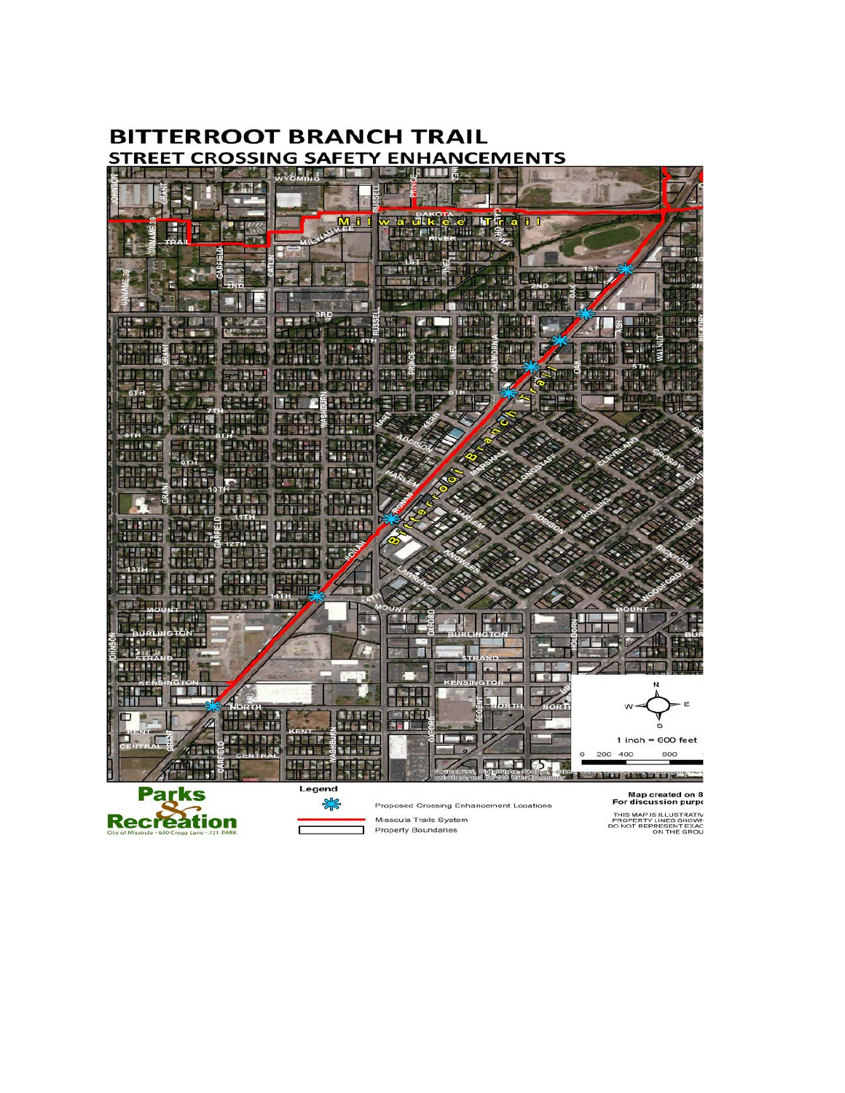

## **BITTERROOT BRANCH TRAIL STREET CROSSING SAFETY ENHANCEMENTS**

**Recreation** 

Property Boundaries

THIS MAP IS ILLUSTRATIV<br>PROPERTY LINES SHOWN<br>DO NOT REPRESENT EXAC<br>ON THE GROU